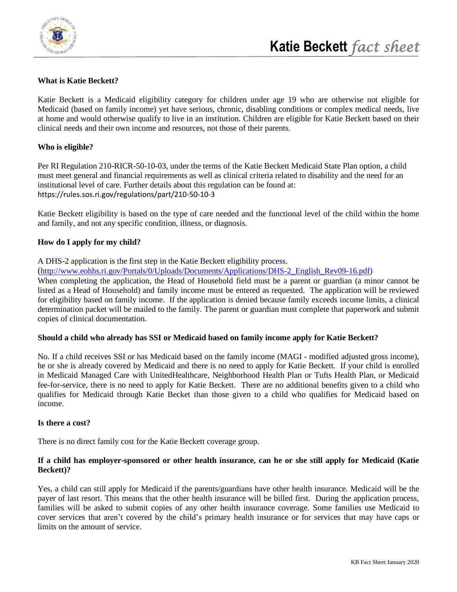

# **What is Katie Beckett?**

Katie Beckett is a Medicaid eligibility category for children under age 19 who are otherwise not eligible for Medicaid (based on family income) yet have serious, chronic, disabling conditions or complex medical needs, live at home and would otherwise qualify to live in an institution. Children are eligible for Katie Beckett based on their clinical needs and their own income and resources, not those of their parents.

## **Who is eligible?**

Per RI Regulation 210-RICR-50-10-03, under the terms of the Katie Beckett Medicaid State Plan option, a child must meet general and financial requirements as well as clinical criteria related to disability and the need for an institutional level of care. Further details about this regulation can be found at: https://rules.sos.ri.gov/regulations/part/210-50-10-3

Katie Beckett eligibility is based on the type of care needed and the functional level of the child within the home and family, and not any specific condition, illness, or diagnosis.

### **How do I apply for my child?**

A DHS-2 application is the first step in the Katie Beckett eligibility process.

([http://www.eohhs.ri.gov/Portals/0/Uploads/Documents/Applications/DHS-2\\_English\\_Rev09-16.pdf\)](http://www.eohhs.ri.gov/Portals/0/Uploads/Documents/Applications/DHS-2_English_Rev09-16.pdf)

When completing the application, the Head of Household field must be a parent or guardian (a minor cannot be listed as a Head of Household) and family income must be entered as requested. The application will be reviewed for eligibility based on family income. If the application is denied because family exceeds income limits, a clinical determination packet will be mailed to the family. The parent or guardian must complete that paperwork and submit copies of clinical documentation.

#### **Should a child who already has SSI or Medicaid based on family income apply for Katie Beckett?**

No. If a child receives SSI or has Medicaid based on the family income (MAGI - modified adjusted gross income), he or she is already covered by Medicaid and there is no need to apply for Katie Beckett. If your child is enrolled in Medicaid Managed Care with UnitedHealthcare, Neighborhood Health Plan or Tufts Health Plan, or Medicaid fee-for-service, there is no need to apply for Katie Beckett. There are no additional benefits given to a child who qualifies for Medicaid through Katie Becket than those given to a child who qualifies for Medicaid based on income.

#### **Is there a cost?**

There is no direct family cost for the Katie Beckett coverage group.

## **If a child has employer-sponsored or other health insurance, can he or she still apply for Medicaid (Katie Beckett)?**

Yes, a child can still apply for Medicaid if the parents/guardians have other health insurance. Medicaid will be the payer of last resort. This means that the other health insurance will be billed first. During the application process, families will be asked to submit copies of any other health insurance coverage. Some families use Medicaid to cover services that aren't covered by the child's primary health insurance or for services that may have caps or limits on the amount of service.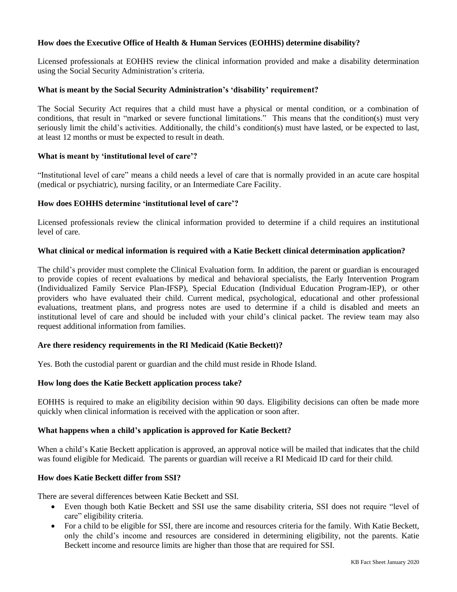## **How does the Executive Office of Health & Human Services (EOHHS) determine disability?**

Licensed professionals at EOHHS review the clinical information provided and make a disability determination using the Social Security Administration's criteria.

#### **What is meant by the Social Security Administration's 'disability' requirement?**

The Social Security Act requires that a child must have a physical or mental condition, or a combination of conditions, that result in "marked or severe functional limitations." This means that the condition(s) must very seriously limit the child's activities. Additionally, the child's condition(s) must have lasted, or be expected to last, at least 12 months or must be expected to result in death.

### **What is meant by 'institutional level of care'?**

"Institutional level of care" means a child needs a level of care that is normally provided in an acute care hospital (medical or psychiatric), nursing facility, or an Intermediate Care Facility.

### **How does EOHHS determine 'institutional level of care'?**

Licensed professionals review the clinical information provided to determine if a child requires an institutional level of care.

### **What clinical or medical information is required with a Katie Beckett clinical determination application?**

The child's provider must complete the Clinical Evaluation form. In addition, the parent or guardian is encouraged to provide copies of recent evaluations by medical and behavioral specialists, the Early Intervention Program (Individualized Family Service Plan-IFSP), Special Education (Individual Education Program-IEP), or other providers who have evaluated their child. Current medical, psychological, educational and other professional evaluations, treatment plans, and progress notes are used to determine if a child is disabled and meets an institutional level of care and should be included with your child's clinical packet. The review team may also request additional information from families.

### **Are there residency requirements in the RI Medicaid (Katie Beckett)?**

Yes. Both the custodial parent or guardian and the child must reside in Rhode Island.

#### **How long does the Katie Beckett application process take?**

EOHHS is required to make an eligibility decision within 90 days. Eligibility decisions can often be made more quickly when clinical information is received with the application or soon after.

#### **What happens when a child's application is approved for Katie Beckett?**

When a child's Katie Beckett application is approved, an approval notice will be mailed that indicates that the child was found eligible for Medicaid. The parents or guardian will receive a RI Medicaid ID card for their child.

#### **How does Katie Beckett differ from SSI?**

There are several differences between Katie Beckett and SSI.

- Even though both Katie Beckett and SSI use the same disability criteria, SSI does not require "level of care" eligibility criteria.
- For a child to be eligible for SSI, there are income and resources criteria for the family. With Katie Beckett, only the child's income and resources are considered in determining eligibility, not the parents. Katie Beckett income and resource limits are higher than those that are required for SSI.